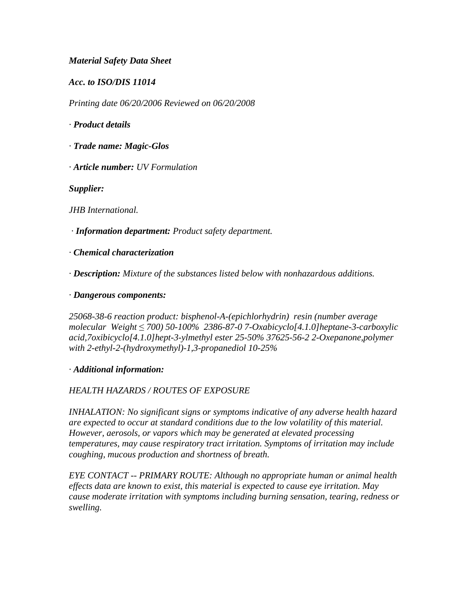### *Material Safety Data Sheet*

*Acc. to ISO/DIS 11014*

*Printing date 06/20/2006 Reviewed on 06/20/2008*

*· Product details*

- *· Trade name: Magic-Glos*
- *· Article number: UV Formulation*

*Supplier:*

*JHB International.*

 *· Information department: Product safety department.*

*· Chemical characterization*

*· Description: Mixture of the substances listed below with nonhazardous additions.*

*· Dangerous components:*

*25068-38-6 reaction product: bisphenol-A-(epichlorhydrin) resin (number average molecular Weight* ≤ *700) 50-100% 2386-87-0 7-Oxabicyclo[4.1.0]heptane-3-carboxylic acid,7oxibicyclo[4.1.0]hept-3-ylmethyl ester 25-50% 37625-56-2 2-Oxepanone,polymer with 2-ethyl-2-(hydroxymethyl)-1,3-propanediol 10-25%*

#### *· Additional information:*

## *HEALTH HAZARDS / ROUTES OF EXPOSURE*

*INHALATION: No significant signs or symptoms indicative of any adverse health hazard are expected to occur at standard conditions due to the low volatility of this material. However, aerosols, or vapors which may be generated at elevated processing temperatures, may cause respiratory tract irritation. Symptoms of irritation may include coughing, mucous production and shortness of breath.*

*EYE CONTACT -- PRIMARY ROUTE: Although no appropriate human or animal health effects data are known to exist, this material is expected to cause eye irritation. May cause moderate irritation with symptoms including burning sensation, tearing, redness or swelling.*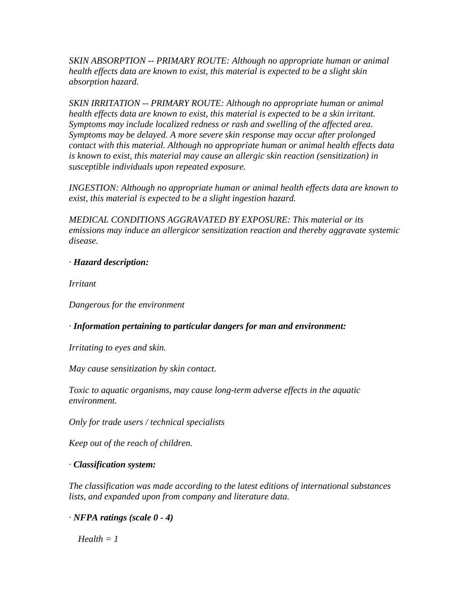*SKIN ABSORPTION -- PRIMARY ROUTE: Although no appropriate human or animal health effects data are known to exist, this material is expected to be a slight skin absorption hazard.*

*SKIN IRRITATION -- PRIMARY ROUTE: Although no appropriate human or animal health effects data are known to exist, this material is expected to be a skin irritant. Symptoms may include localized redness or rash and swelling of the affected area. Symptoms may be delayed. A more severe skin response may occur after prolonged contact with this material. Although no appropriate human or animal health effects data is known to exist, this material may cause an allergic skin reaction (sensitization) in susceptible individuals upon repeated exposure.*

*INGESTION: Although no appropriate human or animal health effects data are known to exist, this material is expected to be a slight ingestion hazard.*

*MEDICAL CONDITIONS AGGRAVATED BY EXPOSURE: This material or its emissions may induce an allergicor sensitization reaction and thereby aggravate systemic disease.*

## *· Hazard description:*

*Irritant*

*Dangerous for the environment*

*· Information pertaining to particular dangers for man and environment:*

*Irritating to eyes and skin.*

*May cause sensitization by skin contact.*

*Toxic to aquatic organisms, may cause long-term adverse effects in the aquatic environment.*

*Only for trade users / technical specialists*

*Keep out of the reach of children.*

## *· Classification system:*

*The classification was made according to the latest editions of international substances lists, and expanded upon from company and literature data.*

## *· NFPA ratings (scale 0 - 4)*

 $Health = 1$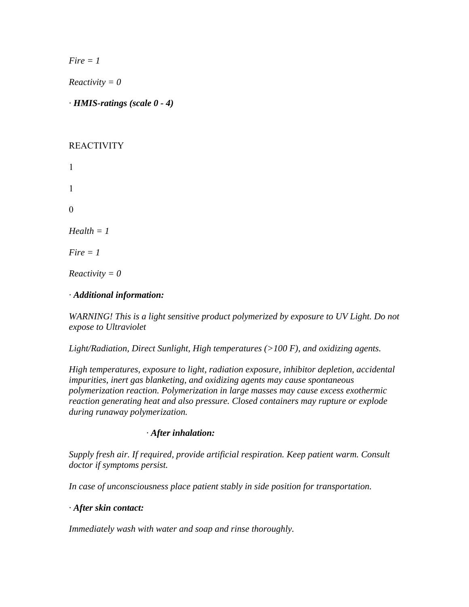*Fire = 1*

*Reactivity = 0*

*· HMIS-ratings (scale 0 - 4)*

## REACTIVITY

1 1 0 *Health = 1 Fire = 1*

*Reactivity = 0*

# *· Additional information:*

*WARNING! This is a light sensitive product polymerized by exposure to UV Light. Do not expose to Ultraviolet*

*Light/Radiation, Direct Sunlight, High temperatures (>100 F), and oxidizing agents.*

*High temperatures, exposure to light, radiation exposure, inhibitor depletion, accidental impurities, inert gas blanketing, and oxidizing agents may cause spontaneous polymerization reaction. Polymerization in large masses may cause excess exothermic reaction generating heat and also pressure. Closed containers may rupture or explode during runaway polymerization.*

## *4 First aid measures· After inhalation:*

*Supply fresh air. If required, provide artificial respiration. Keep patient warm. Consult doctor if symptoms persist.*

*In case of unconsciousness place patient stably in side position for transportation.*

## *· After skin contact:*

*Immediately wash with water and soap and rinse thoroughly.*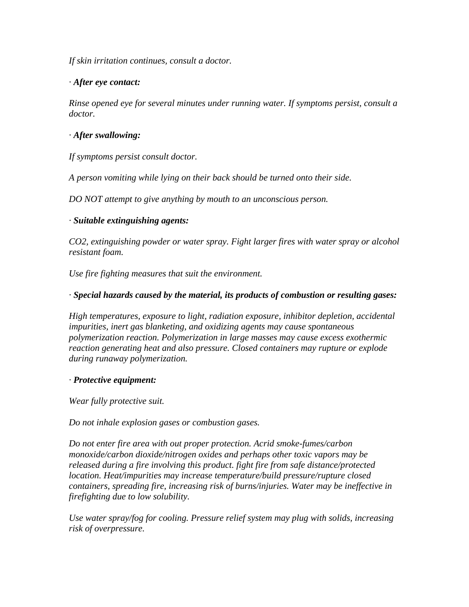*If skin irritation continues, consult a doctor.*

### *· After eye contact:*

*Rinse opened eye for several minutes under running water. If symptoms persist, consult a doctor.*

### *· After swallowing:*

*If symptoms persist consult doctor.*

*A person vomiting while lying on their back should be turned onto their side.*

*DO NOT attempt to give anything by mouth to an unconscious person.*

### *· Suitable extinguishing agents:*

*CO2, extinguishing powder or water spray. Fight larger fires with water spray or alcohol resistant foam.*

*Use fire fighting measures that suit the environment.*

### *· Special hazards caused by the material, its products of combustion or resulting gases:*

*High temperatures, exposure to light, radiation exposure, inhibitor depletion, accidental impurities, inert gas blanketing, and oxidizing agents may cause spontaneous polymerization reaction. Polymerization in large masses may cause excess exothermic reaction generating heat and also pressure. Closed containers may rupture or explode during runaway polymerization.*

#### *· Protective equipment:*

*Wear fully protective suit.*

*Do not inhale explosion gases or combustion gases.*

*Do not enter fire area with out proper protection. Acrid smoke-fumes/carbon monoxide/carbon dioxide/nitrogen oxides and perhaps other toxic vapors may be released during a fire involving this product. fight fire from safe distance/protected location. Heat/impurities may increase temperature/build pressure/rupture closed containers, spreading fire, increasing risk of burns/injuries. Water may be ineffective in firefighting due to low solubility.*

*Use water spray/fog for cooling. Pressure relief system may plug with solids, increasing risk of overpressure.*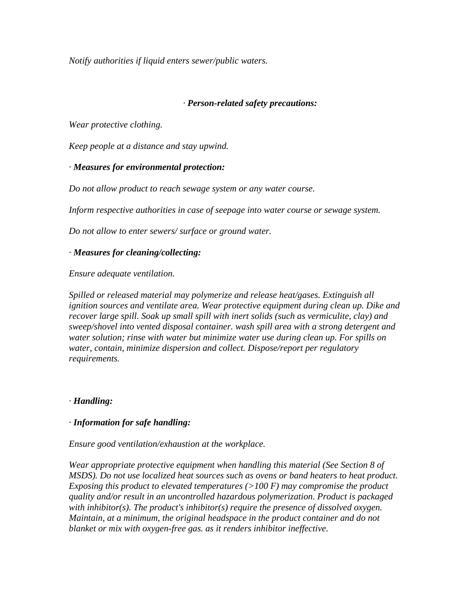*Notify authorities if liquid enters sewer/public waters.* 

### *6 Accidental release measures· Person-related safety precautions:*

*Wear protective clothing.*

*Keep people at a distance and stay upwind.*

### *· Measures for environmental protection:*

*Do not allow product to reach sewage system or any water course.*

*Inform respective authorities in case of seepage into water course or sewage system.*

*Do not allow to enter sewers/ surface or ground water.*

#### *· Measures for cleaning/collecting:*

*Ensure adequate ventilation.*

*Spilled or released material may polymerize and release heat/gases. Extinguish all ignition sources and ventilate area. Wear protective equipment during clean up. Dike and recover large spill. Soak up small spill with inert solids (such as vermiculite, clay) and sweep/shovel into vented disposal container. wash spill area with a strong detergent and water solution; rinse with water but minimize water use during clean up. For spills on water, contain, minimize dispersion and collect. Dispose/report per regulatory requirements.*

#### *· Handling:*

#### *· Information for safe handling:*

*Ensure good ventilation/exhaustion at the workplace.*

*Wear appropriate protective equipment when handling this material (See Section 8 of MSDS). Do not use localized heat sources such as ovens or band heaters to heat product. Exposing this product to elevated temperatures (>100 F) may compromise the product quality and/or result in an uncontrolled hazardous polymerization. Product is packaged with inhibitor(s). The product's inhibitor(s) require the presence of dissolved oxygen. Maintain, at a minimum, the original headspace in the product container and do not blanket or mix with oxygen-free gas. as it renders inhibitor ineffective.*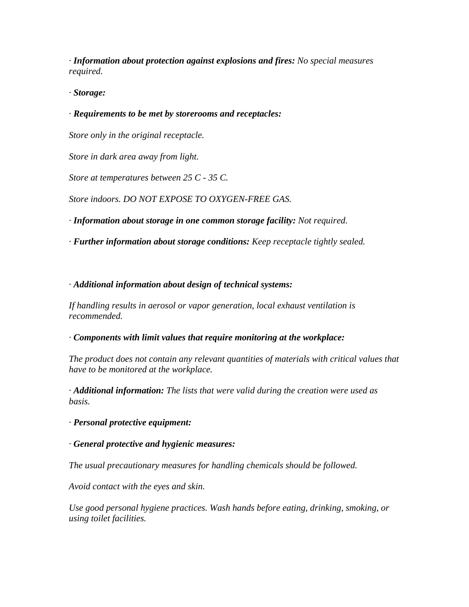*· Information about protection against explosions and fires: No special measures required.*

*· Storage:*

# *· Requirements to be met by storerooms and receptacles:*

*Store only in the original receptacle.*

*Store in dark area away from light.*

*Store at temperatures between 25 C - 35 C.*

*Store indoors. DO NOT EXPOSE TO OXYGEN-FREE GAS.*

*· Information about storage in one common storage facility: Not required.*

*· Further information about storage conditions: Keep receptacle tightly sealed.*

*· Additional information about design of technical systems:*

*If handling results in aerosol or vapor generation, local exhaust ventilation is recommended.*

*· Components with limit values that require monitoring at the workplace:*

*The product does not contain any relevant quantities of materials with critical values that have to be monitored at the workplace.*

*· Additional information: The lists that were valid during the creation were used as basis.*

*· Personal protective equipment:*

*· General protective and hygienic measures:*

*The usual precautionary measures for handling chemicals should be followed.*

*Avoid contact with the eyes and skin.*

*Use good personal hygiene practices. Wash hands before eating, drinking, smoking, or using toilet facilities.*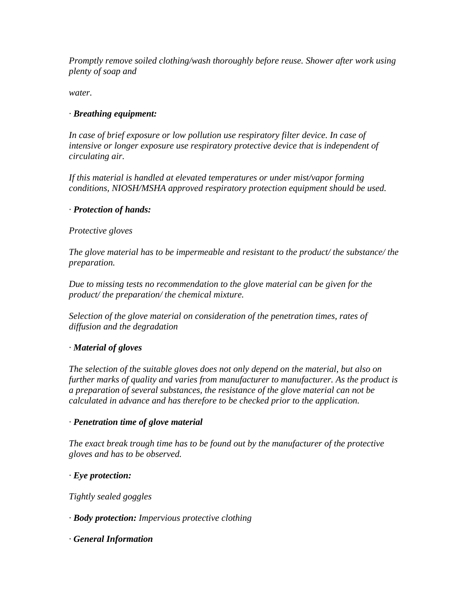*Promptly remove soiled clothing/wash thoroughly before reuse. Shower after work using plenty of soap and*

*water.*

## *· Breathing equipment:*

*In case of brief exposure or low pollution use respiratory filter device. In case of intensive or longer exposure use respiratory protective device that is independent of circulating air.*

*If this material is handled at elevated temperatures or under mist/vapor forming conditions, NIOSH/MSHA approved respiratory protection equipment should be used.*

## *· Protection of hands:*

### *Protective gloves*

*The glove material has to be impermeable and resistant to the product/ the substance/ the preparation.*

*Due to missing tests no recommendation to the glove material can be given for the product/ the preparation/ the chemical mixture.*

*Selection of the glove material on consideration of the penetration times, rates of diffusion and the degradation*

## *· Material of gloves*

*The selection of the suitable gloves does not only depend on the material, but also on further marks of quality and varies from manufacturer to manufacturer. As the product is a preparation of several substances, the resistance of the glove material can not be calculated in advance and has therefore to be checked prior to the application.*

## *· Penetration time of glove material*

*The exact break trough time has to be found out by the manufacturer of the protective gloves and has to be observed.*

## *· Eye protection:*

*Tightly sealed goggles*

*· Body protection: Impervious protective clothing*

*· General Information*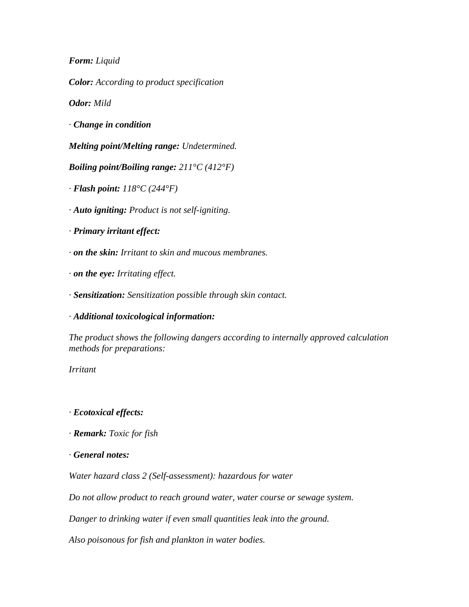*Form: Liquid*

*Color: According to product specification*

*Odor: Mild*

*· Change in condition*

*Melting point/Melting range: Undetermined.*

*Boiling point/Boiling range: 211°C (412°F)*

*· Flash point: 118°C (244°F)*

*· Auto igniting: Product is not self-igniting.*

*· Primary irritant effect:*

*· on the skin: Irritant to skin and mucous membranes.*

*· on the eye: Irritating effect.*

*· Sensitization: Sensitization possible through skin contact.*

*· Additional toxicological information:*

*The product shows the following dangers according to internally approved calculation methods for preparations:*

*Irritant*

*· Ecotoxical effects:*

*· Remark: Toxic for fish*

*· General notes:*

*Water hazard class 2 (Self-assessment): hazardous for water*

*Do not allow product to reach ground water, water course or sewage system.*

*Danger to drinking water if even small quantities leak into the ground.*

*Also poisonous for fish and plankton in water bodies.*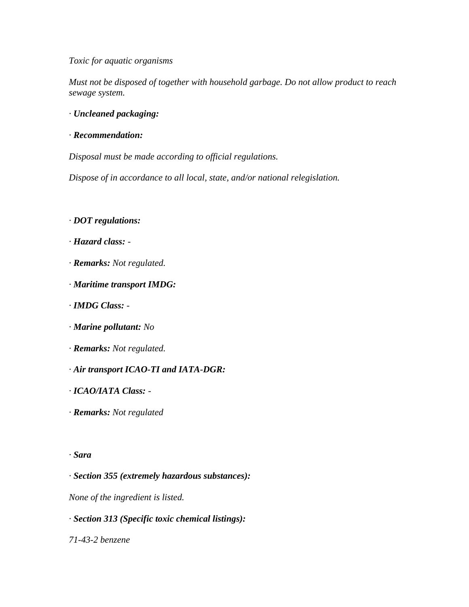#### *Toxic for aquatic organisms*

*Must not be disposed of together with household garbage. Do not allow product to reach sewage system.*

- *· Uncleaned packaging:*
- *· Recommendation:*

*Disposal must be made according to official regulations.*

*Dispose of in accordance to all local, state, and/or national relegislation.*

- *· DOT regulations:*
- *· Hazard class: -*
- *· Remarks: Not regulated.*
- *· Maritime transport IMDG:*
- *· IMDG Class: -*
- *· Marine pollutant: No*
- *· Remarks: Not regulated.*
- *· Air transport ICAO-TI and IATA-DGR:*
- *· ICAO/IATA Class: -*
- *· Remarks: Not regulated*

#### *· Sara*

*· Section 355 (extremely hazardous substances):*

*None of the ingredient is listed.*

#### *· Section 313 (Specific toxic chemical listings):*

*71-43-2 benzene*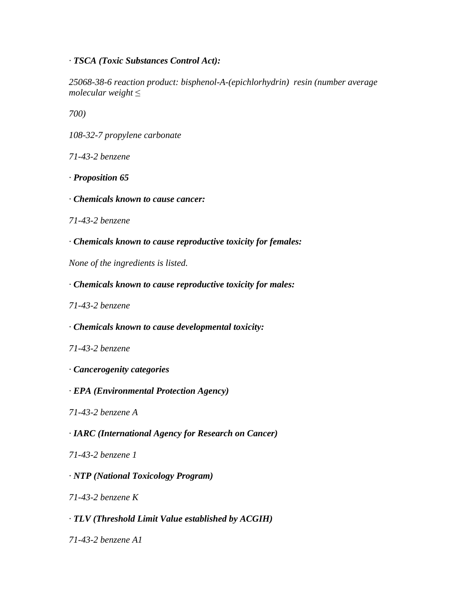## *· TSCA (Toxic Substances Control Act):*

*25068-38-6 reaction product: bisphenol-A-(epichlorhydrin) resin (number average molecular weight* ≤

*700)*

*108-32-7 propylene carbonate*

*71-43-2 benzene*

- *· Proposition 65*
- *· Chemicals known to cause cancer:*
- *71-43-2 benzene*
- *· Chemicals known to cause reproductive toxicity for females:*

*None of the ingredients is listed.*

- *· Chemicals known to cause reproductive toxicity for males:*
- *71-43-2 benzene*
- *· Chemicals known to cause developmental toxicity:*
- *71-43-2 benzene*
- *· Cancerogenity categories*
- *· EPA (Environmental Protection Agency)*
- *71-43-2 benzene A*
- *· IARC (International Agency for Research on Cancer)*
- *71-43-2 benzene 1*

## *· NTP (National Toxicology Program)*

*71-43-2 benzene K*

## *· TLV (Threshold Limit Value established by ACGIH)*

*71-43-2 benzene A1*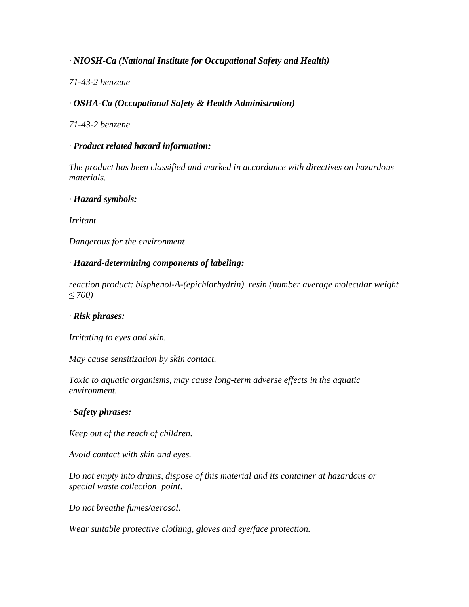# *· NIOSH-Ca (National Institute for Occupational Safety and Health)*

### *71-43-2 benzene*

## *· OSHA-Ca (Occupational Safety & Health Administration)*

*71-43-2 benzene*

### *· Product related hazard information:*

*The product has been classified and marked in accordance with directives on hazardous materials.*

#### *· Hazard symbols:*

*Irritant*

*Dangerous for the environment*

### *· Hazard-determining components of labeling:*

*reaction product: bisphenol-A-(epichlorhydrin) resin (number average molecular weight*  ≤ *700)*

## *· Risk phrases:*

*Irritating to eyes and skin.*

*May cause sensitization by skin contact.*

*Toxic to aquatic organisms, may cause long-term adverse effects in the aquatic environment.*

#### *· Safety phrases:*

*Keep out of the reach of children.*

*Avoid contact with skin and eyes.*

*Do not empty into drains, dispose of this material and its container at hazardous or special waste collection point.*

*Do not breathe fumes/aerosol.*

*Wear suitable protective clothing, gloves and eye/face protection.*